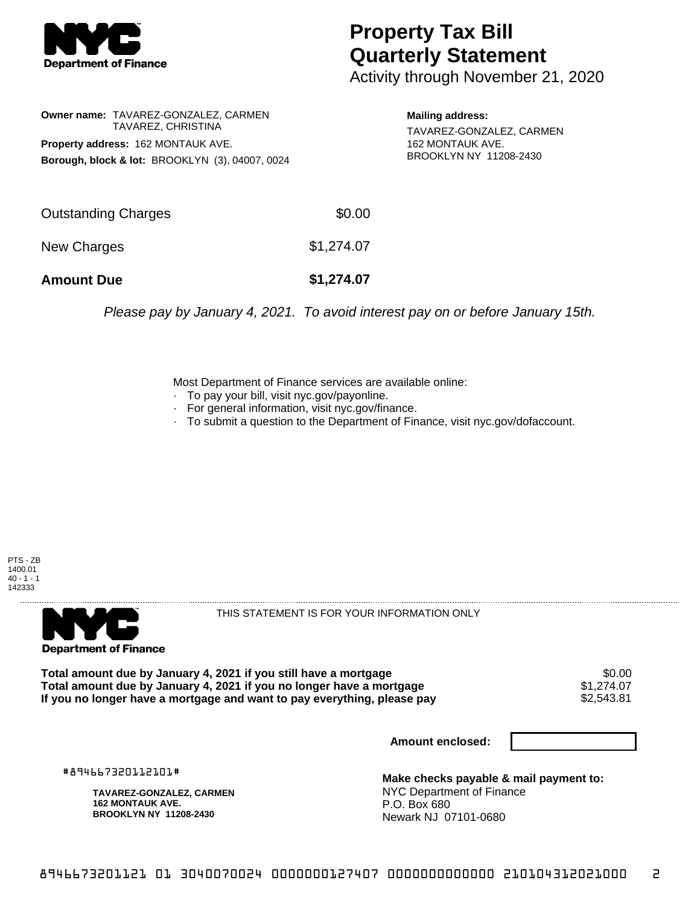

## **Property Tax Bill Quarterly Statement**

Activity through November 21, 2020

**Owner name:** TAVAREZ-GONZALEZ, CARMEN TAVAREZ, CHRISTINA **Property address:** 162 MONTAUK AVE. **Borough, block & lot:** BROOKLYN (3), 04007, 0024

**Mailing address:** TAVAREZ-GONZALEZ, CARMEN 162 MONTAUK AVE. BROOKLYN NY 11208-2430

| <b>Amount Due</b>   | \$1,274.07 |
|---------------------|------------|
| New Charges         | \$1,274.07 |
| Outstanding Charges | \$0.00     |

Please pay by January 4, 2021. To avoid interest pay on or before January 15th.

Most Department of Finance services are available online:

- · To pay your bill, visit nyc.gov/payonline.
- For general information, visit nyc.gov/finance.
- · To submit a question to the Department of Finance, visit nyc.gov/dofaccount.





THIS STATEMENT IS FOR YOUR INFORMATION ONLY

Total amount due by January 4, 2021 if you still have a mortgage \$0.00<br>Total amount due by January 4, 2021 if you no longer have a mortgage \$1.274.07 **Total amount due by January 4, 2021 if you no longer have a mortgage**  $$1,274.07$ **<br>If you no longer have a mortgage and want to pay everything, please pay**  $$2,543.81$ If you no longer have a mortgage and want to pay everything, please pay

**Amount enclosed:**

#894667320112101#

**TAVAREZ-GONZALEZ, CARMEN 162 MONTAUK AVE. BROOKLYN NY 11208-2430**

**Make checks payable & mail payment to:** NYC Department of Finance P.O. Box 680 Newark NJ 07101-0680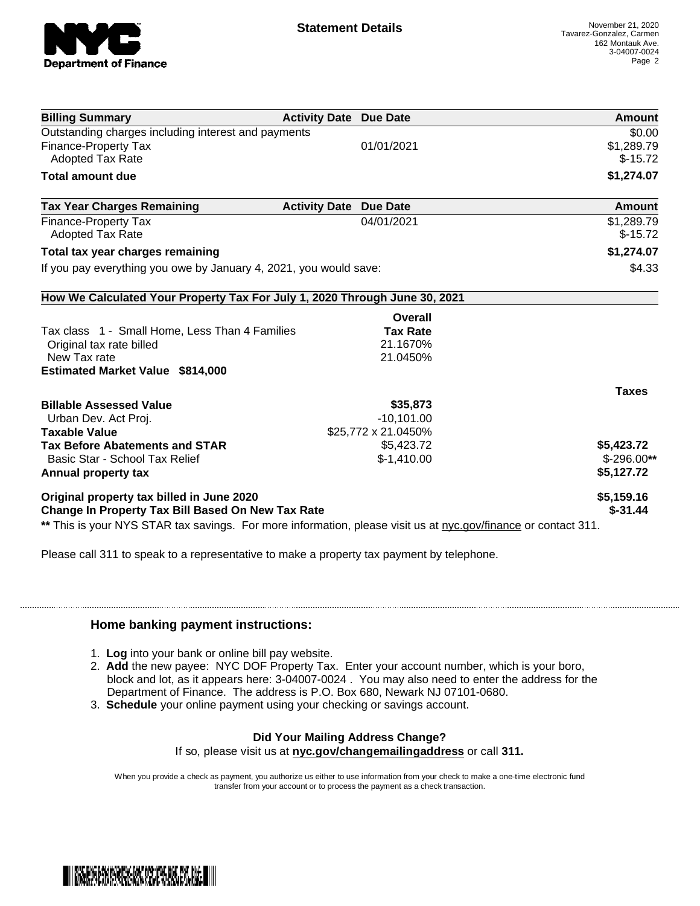

| <b>Billing Summary</b>                                                                                    | <b>Activity Date Due Date</b> | Amount       |
|-----------------------------------------------------------------------------------------------------------|-------------------------------|--------------|
| Outstanding charges including interest and payments                                                       |                               | \$0.00       |
| <b>Finance-Property Tax</b>                                                                               | 01/01/2021                    | \$1,289.79   |
| <b>Adopted Tax Rate</b>                                                                                   |                               | $$-15.72$    |
| <b>Total amount due</b>                                                                                   |                               | \$1,274.07   |
| <b>Tax Year Charges Remaining</b><br><b>Activity Date</b>                                                 | <b>Due Date</b>               | Amount       |
| <b>Finance-Property Tax</b>                                                                               | 04/01/2021                    | \$1,289.79   |
| <b>Adopted Tax Rate</b>                                                                                   |                               | $$-15.72$    |
| Total tax year charges remaining                                                                          |                               | \$1,274.07   |
| If you pay everything you owe by January 4, 2021, you would save:                                         |                               | \$4.33       |
| How We Calculated Your Property Tax For July 1, 2020 Through June 30, 2021                                |                               |              |
|                                                                                                           | Overall                       |              |
| Tax class 1 - Small Home, Less Than 4 Families                                                            | <b>Tax Rate</b>               |              |
| Original tax rate billed                                                                                  | 21.1670%                      |              |
| New Tax rate                                                                                              | 21.0450%                      |              |
| <b>Estimated Market Value \$814,000</b>                                                                   |                               |              |
|                                                                                                           |                               | <b>Taxes</b> |
| <b>Billable Assessed Value</b>                                                                            | \$35,873                      |              |
| Urban Dev. Act Proj.                                                                                      | $-10,101.00$                  |              |
| <b>Taxable Value</b>                                                                                      | \$25,772 x 21.0450%           |              |
|                                                                                                           | \$5,423.72                    | \$5,423.72   |
|                                                                                                           |                               |              |
| Basic Star - School Tax Relief                                                                            | $$-1,410.00$                  | $$-296.00**$ |
|                                                                                                           |                               | \$5,127.72   |
| <b>Tax Before Abatements and STAR</b><br>Annual property tax<br>Original property tax billed in June 2020 |                               | \$5,159.16   |

Please call 311 to speak to a representative to make a property tax payment by telephone.

## **Home banking payment instructions:**

- 1. **Log** into your bank or online bill pay website.
- 2. **Add** the new payee: NYC DOF Property Tax. Enter your account number, which is your boro, block and lot, as it appears here: 3-04007-0024 . You may also need to enter the address for the Department of Finance. The address is P.O. Box 680, Newark NJ 07101-0680.
- 3. **Schedule** your online payment using your checking or savings account.

## **Did Your Mailing Address Change?**

If so, please visit us at **nyc.gov/changemailingaddress** or call **311.**

When you provide a check as payment, you authorize us either to use information from your check to make a one-time electronic fund transfer from your account or to process the payment as a check transaction.